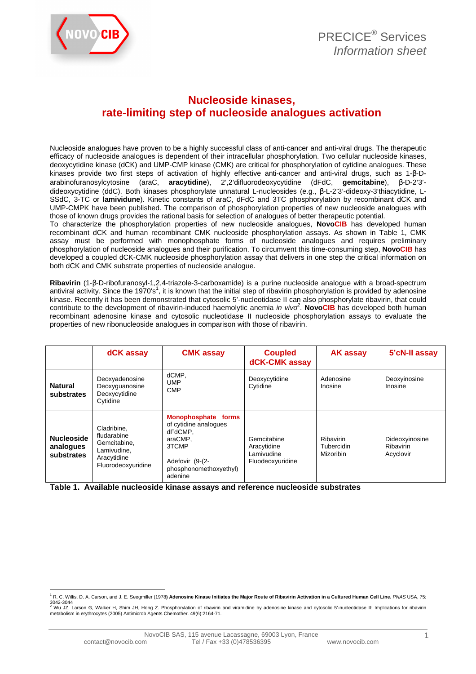

## **Nucleoside kinases, rate-limiting step of nucleoside analogues activation**

Nucleoside analogues have proven to be a highly successful class of anti-cancer and anti-viral drugs. The therapeutic efficacy of nucleoside analogues is dependent of their intracellular phosphorylation. Two cellular nucleoside kinases, deoxycytidine kinase (dCK) and UMP-CMP kinase (CMK) are critical for phosphorylation of cytidine analogues. These kinases provide two first steps of activation of highly effective anti-cancer and anti-viral drugs, such as 1-β-Darabinofuranosylcytosine (araC, **aracytidine**), 2',2'difluorodeoxycytidine (dFdC, **gemcitabine**), β-D-2'3' dideoxycytidine (ddC). Both kinases phosphorylate unnatural L-nucleosides (e.g., β-L-2'3'-dideoxy-3'thiacytidine, L-SSdC, 3-TC or **lamividune**). Kinetic constants of araC, dFdC and 3TC phosphorylation by recombinant dCK and UMP-CMPK have been published. The comparison of phosphorylation properties of new nucleoside analogues with those of known drugs provides the rational basis for selection of analogues of better therapeutic potential. To characterize the phosphorylation properties of new nucleoside analogues, **NovoCIB** has developed human

recombinant dCK and human recombinant CMK nucleoside phosphorylation assays. As shown in Table 1, CMK assay must be performed with monophosphate forms of nucleoside analogues and requires preliminary phosphorylation of nucleoside analogues and their purification. To circumvent this time-consuming step, **NovoCIB** has developed a coupled dCK-CMK nucleoside phosphorylation assay that delivers in one step the critical information on both dCK and CMK substrate properties of nucleoside analogue.

**Ribavirin** (1-β-D-ribofuranosyl-1,2,4-triazole-3-carboxamide) is a purine nucleoside analogue with a broad-spectrum antiviral activity. Since the 1970's<sup>1</sup>, it is known that the initial step of ribavirin phosphorylation is provided by adenosine kinase. Recently it has been demonstrated that cytosolic 5'-nucleotidase II can also phosphorylate ribavirin, that could contribute to the development of ribavirin-induced haemolytic anemia in vivo<sup>2</sup>. NovoCIB has developed both human recombinant adenosine kinase and cytosolic nucleotidase II nucleoside phosphorylation assays to evaluate the properties of new ribonucleoside analogues in comparison with those of ribavirin.

|                                              | dCK assay                                                                                      | <b>CMK assay</b>                                                                                                                    | <b>Coupled</b><br>dCK-CMK assay                              | <b>AK assay</b>                      | 5'cN-II assay                            |
|----------------------------------------------|------------------------------------------------------------------------------------------------|-------------------------------------------------------------------------------------------------------------------------------------|--------------------------------------------------------------|--------------------------------------|------------------------------------------|
| <b>Natural</b><br>substrates                 | Deoxyadenosine<br>Deoxyguanosine<br>Deoxycytidine<br>Cytidine                                  | dCMP,<br><b>UMP</b><br><b>CMP</b>                                                                                                   | Deoxycytidine<br>Cytidine                                    | Adenosine<br>Inosine                 | Deoxyinosine<br>Inosine                  |
| <b>Nucleoside</b><br>analogues<br>substrates | Cladribine.<br>fludarabine<br>Gemcitabine.<br>Lamivudine.<br>Aracytidine<br>Fluorodeoxyuridine | Monophosphate forms<br>of cytidine analogues<br>dFdCMP.<br>araCMP.<br>3TCMP<br>Adefovir (9-(2-<br>phosphonomethoxyethyl)<br>adenine | Gemcitabine<br>Aracytidine<br>Lamivudine<br>Fluodeoxyuridine | Ribavirin<br>Tubercidin<br>Mizoribin | Dideoxyinosine<br>Ribavirin<br>Acyclovir |

**Table 1. Available nucleoside kinase assays and reference nucleoside substrates**

 $\overline{a}$ <sup>1</sup> R. C. Willis, D. A. Carson, and J. E. Seegmiller (1978**) Adenosine Kinase Initiates the Major Route of Ribavirin Activation in a Cultured Human Cell Line. PNAS USA, 75:** 3042-3044

<sup>&</sup>lt;sup>2</sup> Wu JZ, Larson G, Walker H, Shim JH, Hong Z. Phosphorylation of ribavirin and viramidine by adenosine kinase and cytosolic 5'-nucleotidase II: Implications for ribavirin<br>metabolism in erythrocytes (2005) Antimicrob Agen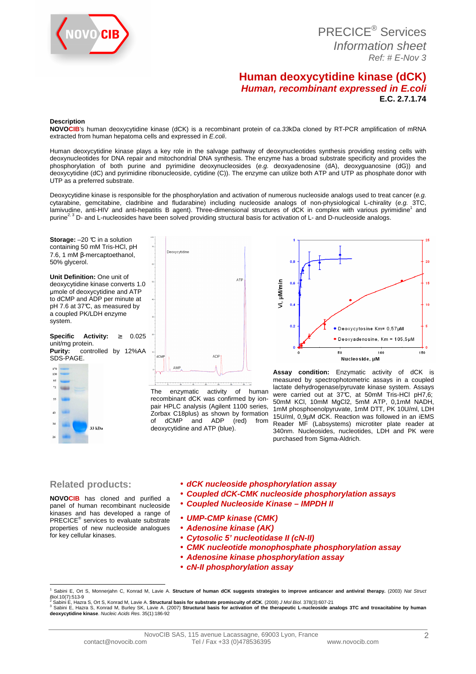

 PRECICE® Services Information sheet Ref: # E-Nov 3

## **Human deoxycytidine kinase (dCK) Human, recombinant expressed in E.coli E.C. 2.7.1.74**

#### **Description**

**NOVOCIB**'s human deoxycytidine kinase (dCK) is a recombinant protein of ca.33kDa cloned by RT-PCR amplification of mRNA extracted from human hepatoma cells and expressed in E.coli.

Human deoxycytidine kinase plays a key role in the salvage pathway of deoxynucleotides synthesis providing resting cells with deoxynucleotides for DNA repair and mitochondrial DNA synthesis. The enzyme has a broad substrate specificity and provides the phosphorylation of both purine and pyrimidine deoxynucleosides (e.g. deoxyadenosine (dA), deoxyguanosine (dG)) and deoxycytidine (dC) and pyrimidine ribonucleoside, cytidine (C)). The enzyme can utilize both ATP and UTP as phosphate donor with UTP as a preferred substrate.

Deoxycytidine kinase is responsible for the phosphorylation and activation of numerous nucleoside analogs used to treat cancer (e.g. cytarabine, gemcitabine, cladribine and fludarabine) including nucleoside analogs of non-physiological L-chirality (e.g. 3TC,<br>Iamivudine, anti-HIV and anti-hepatitis B agent). Three-dimensional structures of dCK in complex purine<sup>2, 3</sup> D- and L-nucleosides have been solved providing structural basis for activation of L- and D-nucleoside analogs.

**Storage:**  $-20$   $\degree$  in a solution containing 50 mM Tris-HCl, pH 7.6, 1 mM β-mercaptoethanol, 50% glycerol.

**Unit Definition:** One unit of deoxycytidine kinase converts 1.0 µmole of deoxycytidine and ATP to dCMP and ADP per minute at pH 7.6 at 37°C, as measured by a coupled PK/LDH enzyme system.

**Specific Activity:** ≥ 0.025 unit/mg protein.<br>**Purity:** contr **Purity:** controlled by 12%AA



\_<br>Deoxvovtidine ATE **ADF** dCM AME

The enzymatic activity of human recombinant dCK was confirmed by ionpair HPLC analysis (Agilent 1100 series, Zorbax C18plus) as shown by formation of dCMP and ADP (red) from deoxycytidine and ATP (blue).



**Assay condition:** Enzymatic activity of dCK is measured by spectrophotometric assays in a coupled lactate dehydrogenase/pyruvate kinase system. Assays were carried out at 37°C, at 50mM Tris-HCl pH7,6; 50mM KCl, 10mM MgCl2, 5mM ATP, 0,1mM NADH, 1mM phosphoenolpyruvate, 1mM DTT, PK 10U/ml, LDH 15U/ml, 0,9µM dCK. Reaction was followed in an iEMS Reader MF (Labsystems) microtiter plate reader at 340nm. Nucleosides, nucleotides, LDH and PK were purchased from Sigma-Aldrich.

#### **Related products:**

• **dCK nucleoside phosphorylation assay** 

- **Coupled dCK-CMK nucleoside phosphorylation assays**
- **Coupled Nucleoside Kinase IMPDH II**
- panel of human recombinant nucleoside kinases and has developed a range of PRECICE® services to evaluate substrate properties of new nucleoside analogues for key cellular kinases.

**NOVOCIB** has cloned and purified a

- 
- 
- **UMP-CMP kinase (CMK)**
- **Adenosine kinase (AK)**
- **Cytosolic 5' nucleotidase II (cN-II)**
- **CMK nucleotide monophosphate phosphorylation assay**
- **Adenosine kinase phosphorylation assay**
- **cN-II phosphorylation assay**

 $\overline{\phantom{a}}$ 1 Sabini E, Ort S, Monnerjahn C, Konrad M, Lavie A. Structure of human dCK suggests strategies to improve anticancer and antiviral therapy. (2003) Nat Struct Biol.10(7):513-9 2 Sabini E, Hazra S, Ort S, Konrad M, Lavie A. **Structural basis for substrate promiscuity of dCK**. (2008) J Mol Biol. 378(3):607-21

<sup>&</sup>lt;sup>3</sup> Sabini E, Hazra S, Konrad M, Burley SK, Lavie A. (2007) **Structural basis for activation of the therapeutic L-nucleoside analogs 3TC and troxacitabine by human<br>deoxycytidine kinase.** *Nucleic Acids Res***. 35(1):186-92**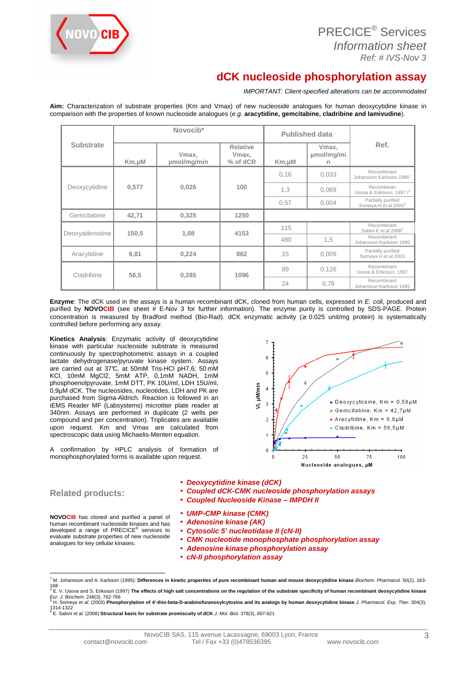

# **dCK nucleoside phosphorylation assay**

IMPORTANT: Client-specified alterations can be accommodated

**Aim:** Characterization of substrate properties (Km and Vmax) of new nucleoside analogues for human deoxycytidine kinase in comparison with the properties of known nucleoside analogues (e.g. **aracytidine, gemcitabine, cladribine and lamivudine**).

|                  | Novocib*       |                      |                                      | <b>Published data</b> |                                        |                                                        |  |
|------------------|----------------|----------------------|--------------------------------------|-----------------------|----------------------------------------|--------------------------------------------------------|--|
| <b>Substrate</b> | $Km, \mu M$    | Vmax,<br>umol/mg/min | <b>Relative</b><br>Vmax,<br>% of dCR | $Km, \mu M$           | Vmax.<br>umol/mg/mi                    | Ref.                                                   |  |
|                  | 0,577<br>0.026 |                      | 100                                  | 0.16                  | 0,033                                  | Recombinant<br>Johansson Karlsson 1995 <sup>1</sup>    |  |
| Deoxycytidine    |                |                      |                                      | 1,3                   | 0.069                                  | Recombinan<br>Usova & Eriksson, 1997 t <sup>2</sup>    |  |
|                  |                |                      |                                      | 0,57                  | 0.004                                  | Partially purified<br>Someya H et al 2003 <sup>3</sup> |  |
| Gemcitabine      | 42.71          | 0.325                | 1250                                 |                       |                                        |                                                        |  |
| Deoxyadenosine   | 150.5          | 1,08                 | 115<br>4153<br>480                   |                       |                                        | Recombinant<br>Sabini E et al 2008 <sup>4</sup>        |  |
|                  |                |                      |                                      | 1,5                   | Recombinant<br>Johansson Karlsson 1995 |                                                        |  |
| Aracytidine      | 6,81           | 0,224                | 862                                  | 15                    | 0.009                                  | Partially purified<br>Someya H et al 2003              |  |
| Cladribine       | 56,5<br>0,285  | 1096                 | 89                                   | 0,126                 | Recombinant<br>Usova & Eriksson, 1997  |                                                        |  |
|                  |                |                      | 24                                   | 0.76                  | Recombinant<br>Johansson Karlsson 1995 |                                                        |  |

**Enzyme**: The dCK used in the assays is a human recombinant dCK, cloned from human cells, expressed in E. coli, produced and purified by **NOVOCIB** (see sheet # E-Nov 3 for further information). The enzyme purity is controlled by SDS-PAGE. Protein concentration is measured by Bradford method (Bio-Rad). dCK enzymatic activity (≥ 0.025 unit/mg protein) is systematically controlled before performing any assay.

**Kinetics Analysis**: Enzymatic activity of deoxycytidine kinase with particular nucleoside substrate is measured continuously by spectrophotometric assays in a coupled lactate dehydrogenase/pyruvate kinase system. Assays are carried out at 37°C, at 50mM Tris-HCl pH7,6; 50 mM KCl, 10mM MgCl2, 5mM ATP, 0,1mM NADH, 1mM phosphoenolpyruvate, 1mM DTT, PK 10U/ml, LDH 15U/ml, 0,9µM dCK. The nucleosides, nucleotides, LDH and PK are purchased from Sigma-Aldrich. Reaction is followed in an iEMS Reader MF (Labsystems) microtiter plate reader at 340nm. Assays are performed in duplicate (2 wells per compound and per concentration). Triplicates are available upon request. Km and Vmax are calculated from spectroscopic data using Michaelis-Menten equation.

A confirmation by HPLC analysis of formation of monophosphorylated forms is available upon request.



## **Related products:**

- **Deoxycytidine kinase (dCK)**
- **Coupled dCK-CMK nucleoside phosphorylation assays**
- **Coupled Nucleoside Kinase IMPDH II**

**NOVOCIB** has cloned and purified a panel of human recombinant nucleoside kinases and has developed a range of PRECICE<sup>®</sup> services to evaluate substrate properties of new nucleoside analogues for key cellular kinases.

- **UMP-CMP kinase (CMK)**
- **Adenosine kinase (AK)**
- **Cytosolic 5' nucleotidase II (cN-II)**
- **CMK nucleotide monophosphate phosphorylation assay**
- **Adenosine kinase phosphorylation assay**
- **cN-II phosphorylation assay**

 $\overline{\phantom{a}}$ <sup>1</sup> M. Johansson and A. Karlsson (1995): Differences in kinetic properties of pure recombinant human and mouse deoxycytidine kinase Biochem. Pharmacol. 50(2), 163-

<sup>168</sup>  2 E. V. Usova and S. Eriksson (1997) **The effects of high salt concentrations on the regulation of the substrate specificity of human recombinant deoxycytidine kinase**  Eur. J. Biochem. 248(3), 762-766

<sup>&</sup>lt;sup>3</sup> H. Someya *et al.* (2003) Phosphorylation of 4'-thio-beta-D-arabinofuranosylcytosine and its analogs by human deoxycytidine kinase *J. Pharmacol. Exp. Ther.* 304(3), 1314-1322<br><sup>4</sup> E. Sabini *et al. (*2008) **Structural basis for substrate promiscuity of dCK** *J. Mol. Biol.* 378(3), 607-621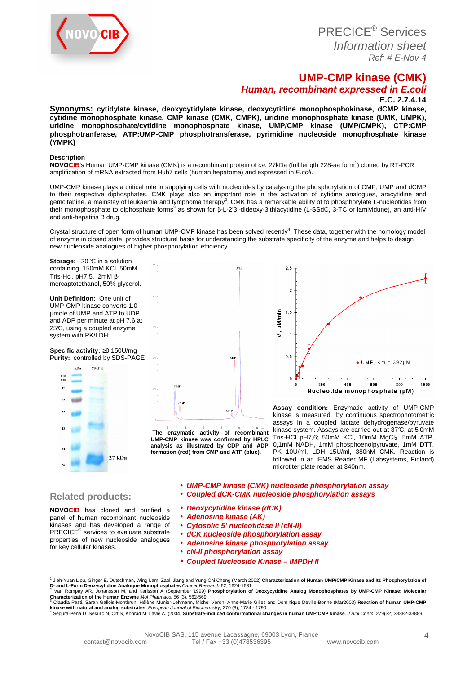

PRECICE® Services Information sheet Ref: # E-Nov 4

## **UMP-CMP kinase (CMK)**

## **Human, recombinant expressed in E.coli**

**E.C. 2.7.4.14** 

**Synonyms: cytidylate kinase, deoxycytidylate kinase, deoxycytidine monophosphokinase, dCMP kinase, cytidine monophosphate kinase, CMP kinase (CMK, CMPK), uridine monophosphate kinase (UMK, UMPK), uridine monophosphate/cytidine monophosphate kinase, UMP/CMP kinase (UMP/CMPK), CTP:CMP phosphotranferase, ATP:UMP-CMP phosphotransferase, pyrimidine nucleoside monophosphate kinase (YMPK)** 

#### **Description**

**NOVOCIB**'s Human UMP-CMP kinase (CMK) is a recombinant protein of ca. 27kDa (full length 228-aa form<sup>1</sup> ) cloned by RT-PCR amplification of mRNA extracted from Huh7 cells (human hepatoma) and expressed in E.coli.

UMP-CMP kinase plays a critical role in supplying cells with nucleotides by catalysing the phosphorylation of CMP, UMP and dCMP to their respective diphosphates. CMK plays also an important role in the activation of cytidine analogues, aracytidine and gemcitabine, a mainstay of leukaemia and lymphoma therapy<sup>2</sup>. CMK has a remarkable ability of to phosphorylate L-nucleotides from their monophosphate to diphosphate forms<sup>3</sup> as shown for β-L-2'3'-dideoxy-3'thiacytidine (L-SSdC, 3-TC or lamividune), an anti-HIV and anti-hepatitis B drug.

Crystal structure of open form of human UMP-CMP kinase has been solved recently<sup>4</sup>. These data, together with the homology model of enzyme in closed state, provides structural basis for understanding the substrate specificity of the enzyme and helps to design new nucleoside analogues of higher phosphorylation efficiency.

**ATE** 

**Storage:**  $-20$  °C in a solution containing 150mM KCl, 50mM Tris-Hcl, pH7,5, 2mM βmercaptotethanol, 50% glycerol.

**Unit Definition:** One unit of UMP-CMP kinase converts 1.0 µmole of UMP and ATP to UDP and ADP per minute at pH 7.6 at 25°C, using a coupled enzyme system with PK/LDH.

#### **Specific activity:** ≥0,150U/mg **Purity:** controlled by SDS-PAGE





**UMP-CMP kinase was confirmed by HPLC analysis as illustrated by CDP and ADP formation (red) from CMP and ATP (blue).** 



**Assay condition:** Enzymatic activity of UMP-CMP kinase is measured by continuous spectrophotometric assays in a coupled lactate dehydrogenase/pyruvate kinase system. Assays are carried out at 37°C, at 5 0mM Tris-HCl pH7,6; 50mM KCl, 10mM MgCl<sub>2</sub>, 5mM ATP, 0,1mM NADH, 1mM phosphoenolpyruvate, 1mM DTT, PK 10U/ml, LDH 15U/ml, 380nM CMK. Reaction is followed in an iEMS Reader MF (Labsystems, Finland) microtiter plate reader at 340nm.

## **Related products:**

**NOVOCIB** has cloned and purified a panel of human recombinant nucleoside kinases and has developed a range of PRECICE® services to evaluate substrate properties of new nucleoside analogues for key cellular kinases.

- **UMP-CMP kinase (CMK) nucleoside phosphorylation assay**
- **Coupled dCK-CMK nucleoside phosphorylation assays**
- **Deoxycytidine kinase (dCK)**
- **Adenosine kinase (AK)**
- **Cytosolic 5' nucleotidase II (cN-II)**
- **dCK nucleoside phosphorylation assay**
- **Adenosine kinase phosphorylation assay**
- **cN-II phosphorylation assay**
- **Coupled Nucleoside Kinase IMPDH II**

<sup>&</sup>lt;sup>1</sup> Jieh-Yuan Liou, Ginger E. Dutschman, Wing Lam, Zaoli Jiang and Yung-Chi Cheng (March 2002) **Characterization of Human UMP/CMP Kinase and Its Phosphorylation of**<br>**D- and L-Form Deoxycytidine Analogue Monophosphates** *C* 

**Characterization of the Human Enzyme** *Mol Pharmacol* 56 (3), 562-569<br><sup>3</sup> Claudia Pasti, Sarah Gallois-Montbrun, Hélène Munier-Lehmann, Michel Veron, Anne-Marie Gilles and Dominique Deville-Bonne (Mar2003) **Reaction of hu** 

**kinase with natural and analog substrates**. *European Journal of Biochemistry*, 270 (8), 1784 - 1790<br><sup>4</sup> Segura-Peña D, Sekulic N, Ort S, Konrad M, Lavie A. (2004) **Substrate-induced conformational changes in human UMP/CM**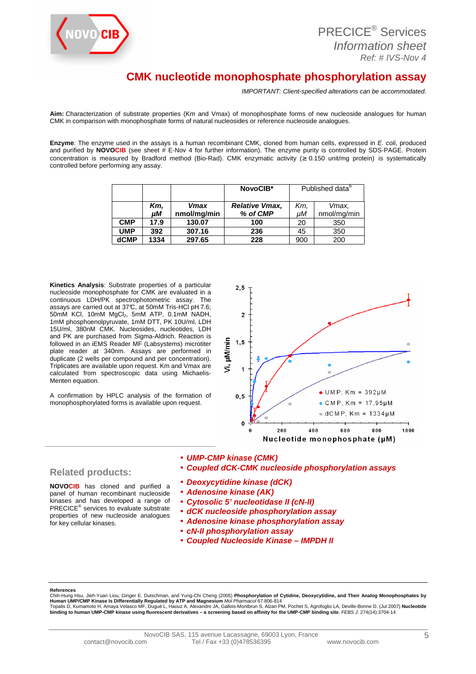

| <b>PRECICE<sup>®</sup> Services</b> |
|-------------------------------------|
| Information sheet                   |
| $Ref: #IVS-Nov 4$                   |

## **CMK nucleotide monophosphate phosphorylation assay**

IMPORTANT: Client-specified alterations can be accommodated.

**Aim:** Characterization of substrate properties (Km and Vmax) of monophosphate forms of new nucleoside analogues for human CMK in comparison with monophosphate forms of natural nucleosides or reference nucleoside analogues.

**Enzyme**: The enzyme used in the assays is a human recombinant CMK, cloned from human cells, expressed in E. coli, produced and purified by **NOVOCIB** (see sheet # E-Nov 4 for further information). The enzyme purity is controlled by SDS-PAGE. Protein concentration is measured by Bradford method (Bio-Rad). CMK enzymatic activity ( $\geq 0.150$  unit/mg protein) is systematically controlled before performing any assay.

|             |           |                     | NovoCIB*                          | Published data <sup>6</sup> |                      |
|-------------|-----------|---------------------|-----------------------------------|-----------------------------|----------------------|
|             | Km.<br>uМ | Vmax<br>nmol/mg/min | <b>Relative Vmax,</b><br>% of CMP | Km.<br>uМ                   | Vmax,<br>nmol/mg/min |
| <b>CMP</b>  | 17.9      | 130.07              | 100                               | 20                          | 350                  |
| <b>UMP</b>  | 392       | 307.16              | 236                               | 45                          | 350                  |
| <b>dCMP</b> | 1334      | 297.65              | 228                               | 900                         | 200                  |

**Kinetics Analysis**: Substrate properties of a particular nucleoside monophosphate for CMK are evaluated in a continuous LDH/PK spectrophotometric assay. The assays are carried out at 37°C, at 50mM Tris-HCl pH 7.6; 50mM KCl, 10mM MgCl<sub>2</sub>, 5mM ATP, 0.1mM NADH, 1mM phosphoenolpyruvate, 1mM DTT, PK 10U/ml, LDH 15U/ml, 380nM CMK. Nucleosides, nucleotides, LDH and PK are purchased from Sigma-Aldrich. Reaction is followed in an iEMS Reader MF (Labsystems) microtiter plate reader at 340nm. Assays are performed in duplicate (2 wells per compound and per concentration). Triplicates are available upon request. Km and Vmax are calculated from spectroscopic data using Michaelis-Menten equation.

A confirmation by HPLC analysis of the formation of monophosphorylated forms is available upon request.



## **Related products:**

**NOVOCIB** has cloned and purified a panel of human recombinant nucleoside kinases and has developed a range of PRECICE® services to evaluate substrate properties of new nucleoside analogues for key cellular kinases.

- **UMP-CMP kinase (CMK)**  • **Coupled dCK-CMK nucleoside phosphorylation assays**
- **Deoxycytidine kinase (dCK)**
- **Adenosine kinase (AK)**
- **Cytosolic 5' nucleotidase II (cN-II)**
- **dCK nucleoside phosphorylation assay**
- **Adenosine kinase phosphorylation assay**
- **cN-II phosphorylation assay**
- **Coupled Nucleoside Kinase IMPDH II**

**References** 

Jieh-Yuan Liou, Ginger E. Dutschman, and Yung-Chi Cheng (2005) Phosphorylation of Cytidine, Deoxycytidine, and Their Analog Monophosphates by **Human UMP/CMP Kinase Is Differentially Regulated by ATP and Magnesium** Mol Pharmacol 67:806-814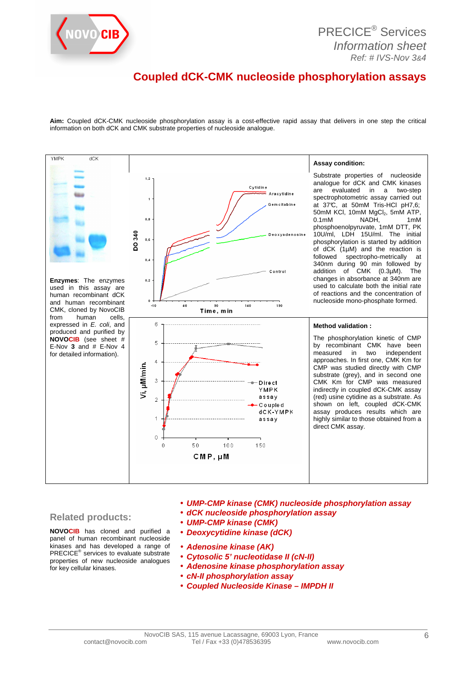

## **Coupled dCK-CMK nucleoside phosphorylation assays**

**Aim:** Coupled dCK-CMK nucleoside phosphorylation assay is a cost-effective rapid assay that delivers in one step the critical information on both dCK and CMK substrate properties of nucleoside analogue.



#### **Related products:**

**NOVOCIB** has cloned and purified a panel of human recombinant nucleoside kinases and has developed a range of PRECICE® services to evaluate substrate properties of new nucleoside analogues for key cellular kinases.

- **UMP-CMP kinase (CMK) nucleoside phosphorylation assay**
- **dCK nucleoside phosphorylation assay**
- **UMP-CMP kinase (CMK)**
- **Deoxycytidine kinase (dCK)**
- **Adenosine kinase (AK)**
- **Cytosolic 5' nucleotidase II (cN-II)**
- **Adenosine kinase phosphorylation assay**
- **cN-II phosphorylation assay**
- **Coupled Nucleoside Kinase IMPDH II**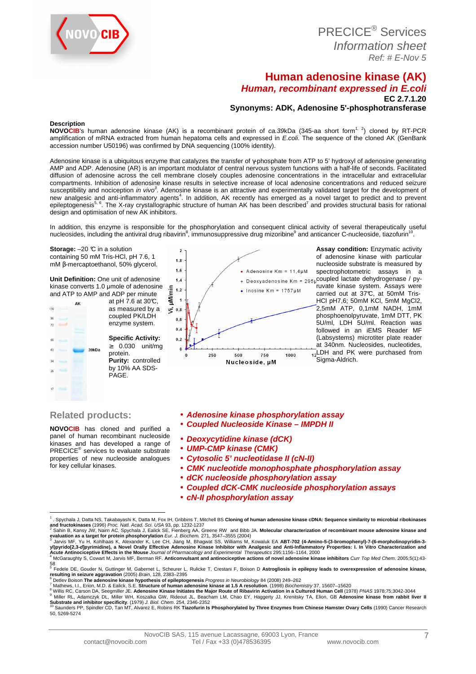

PRECICE® Services Information sheet Ref: # E-Nov 5

## **Human adenosine kinase (AK) Human, recombinant expressed in E.coli EC 2.7.1.20**

**Synonyms: ADK, Adenosine 5'-phosphotransferase** 

#### **Description**

**NOVOCIB**'s human adenosine kinase (AK) is a recombinant protein of ca.39kDa (345-aa short form<sup>1, 2</sup>) cloned by RT-PCR amplification of mRNA extracted from human hepatoma cells and expressed in E.coli. The sequence of the cloned AK (GenBank accession number U50196) was confirmed by DNA sequencing (100% identity).

Adenosine kinase is a ubiquitous enzyme that catalyzes the transfer of γ-phosphate from ATP to 5' hydroxyl of adenosine generating AMP and ADP. Adenosine (AR) is an important modulator of central nervous system functions with a half-life of seconds. Facilitated diffusion of adenosine across the cell membrane closely couples adenosine concentrations in the intracellular and extracellular compartments. Inhibition of adenosine kinase results in selective increase of local adenosine concentrations and reduced seizure susceptibility and nociception in vivo<sup>3</sup>. Adenosine kinase is an attractive and experimentally validated target for the development of new analgesic and anti-inflammatory agents<sup>4</sup>. In addition, AK recently has emerged as a novel target to predict and to prevent epileptogenesis<sup>5, 6</sup>. The X-ray crystallographic structure of human AK has been described<sup>7</sup> and provides structural basis for rational design and optimisation of new AK inhibitors.

In addition, this enzyme is responsible for the phosphorylation and consequent clinical activity of several therapeutically useful nucleosides, including the antiviral drug ribavirin<sup>8</sup>, immunosuppressive drug mizoribine<sup>9</sup> and anticancer C-nucleoside, tiazofurin<sup>10</sup> .

 $\overline{\phantom{a}}$ 

**Storage:**  $-20$  °C in a solution containing 50 mM Tris-HCl, pH 7.6, 1 mM β-mercaptoethanol, 50% glycerol.

**Unit Definition:** One unit of adenosine kinase converts 1.0 µmole of adenosine and ATP to AMP and ADP per minute

at pH  $7.6$  at 30°C,  $130$ as measured by a coupled PK/LDH **GR** enzyme system.  $73$ **Specific Activity:** ≥ 0.030 unit/mg  $\tilde{R}$  $39kDa$ protein.  $\overline{a}$ **Purity:** controlled by 10% AA SDS-PAGE.



**Assay condition:** Enzymatic activity of adenosine kinase with particular nucleoside substrate is measured by spectrophotometric assays in a  $\bullet$  Deoxyadenosine Km = 295µ coupled lactate dehydrogenase / pyruvate kinase system. Assays were carried out at 37°C, at 50mM Tris-HCl pH7,6; 50mM KCl, 5mM MgCl2, 2,5mM ATP, 0,1mM NADH, 1mM phosphoenolpyruvate, 1mM DTT, PK 5U/ml, LDH 5U/ml. Reaction was followed in an iEMS Reader MF (Labsystems) microtiter plate reader at 340nm. Nucleosides, nucleotides,  $\frac{1}{12}$ LDH and PK were purchased from Sigma-Aldrich.

#### **Related products:**

**NOVOCIB** has cloned and purified a panel of human recombinant nucleoside kinases and has developed a range of PRECICE® services to evaluate substrate properties of new nucleoside analogues for key cellular kinases.

- **Adenosine kinase phosphorylation assay**
- **Coupled Nucleoside Kinase IMPDH II**
- **Deoxycytidine kinase (dCK)**
- **UMP-CMP kinase (CMK)**
- **Cytosolic 5' nucleotidase II (cN-II)**
- **CMK nucleotide monophosphate phosphorylation assay**
- **dCK nucleoside phosphorylation assay**
- **Coupled dCK-CMK nucleoside phosphorylation assays** 
	- **cN-II phosphorylation assay**

7

 1 . Spychala J, Datta NS, Takabayashi K, Datta M, Fox IH, Gribbins T, Mitchell BS **Cloning of human adenosine kinase cDNA: Sequence similarity to microbial ribokinases** 

and fructokinases (1996) *Proc. Natl. Acad. Sci. USA* 93, pp. 1232-1237<br><sup>2</sup> Sahin B, Kansy JW, Naim AC, Spychala J, Ealick SE, Fienberg AA, Greene RW and Bibb JA. **Molecular characterization of recombinant mouse adenosine** 

yl)pyrido[2,3-*d*]pyrimidine), a Novel Orally Effective Adenosine Kinase Inhibitor with Analgesic and Anti-Inflammatory Properties: I. In Vitro Characterization and<br>Acute Antinociceptive Effects in the Mouse Journal of Pha

<sup>58</sup>  5 Fedele DE, Gouder N, Guttinger M, Gabernet L, Scheurer L, Rulicke T, Crestani F, Boison D **Astrogliosis in epilepsy leads to overexpression of adenosine kinase, resulting in seizure aggravation** (2005) Brain, 128, 2383–2395 6

Detlev Boison **The adenosine kinase hypothesis of epileptogenesis** *Progress in Neurobiology* 84 (2008) 249–262<br>Mathews, I.I., Erion, M.D. & Ealick, S.E. **Structure of human adenosine kinase at 1.5 A resolution**. (1998) *B* 8

<sup>&</sup>lt;sup>9</sup> Miller RL, Adamczyk DL, Miller WH, Koszalka GW, Rideout JL, Beacham LM, Chao EY, Haggerty JJ, Krenitsky TA, Elion, GB **Adenosine kinase from rabbit liver II**<br>Substrate and inhibitor specificity. (1979) *J. Biol. Chem.* 

<sup>50, 5269-5274</sup>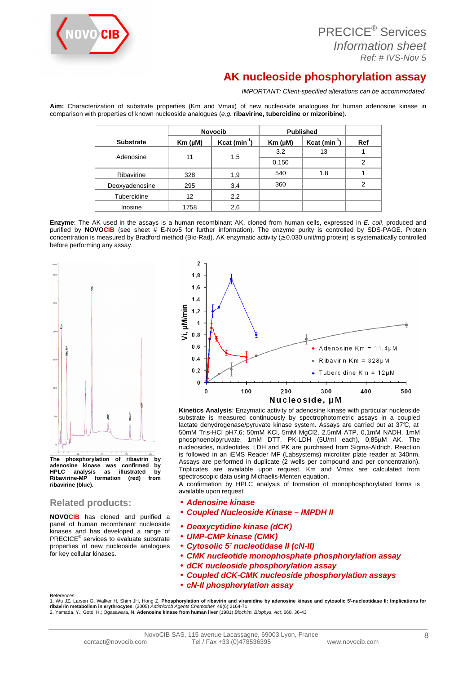

| <b>PRECICE<sup>®</sup> Services</b> |
|-------------------------------------|
| Information sheet                   |
| Ref: # IVS-Nov 5                    |

# **AK nucleoside phosphorylation assay**

IMPORTANT: Client-specified alterations can be accommodated.

**Aim:** Characterization of substrate properties (Km and Vmax) of new nucleoside analogues for human adenosine kinase in comparison with properties of known nucleoside analogues (e.g. **ribavirine, tubercidine or mizoribine**).

|                  | <b>Novocib</b> |                           | <b>Published</b> |                |               |  |
|------------------|----------------|---------------------------|------------------|----------------|---------------|--|
| <b>Substrate</b> | $Km(\mu M)$    | $Kcat (min-1)$            | $Km(\mu M)$      | $Kcat (min-1)$ | Ref           |  |
|                  |                | 3.2<br>1.5<br>11<br>0.150 | 13               |                |               |  |
| Adenosine        |                |                           |                  |                | $\mathcal{P}$ |  |
| Ribavirine       | 328            | 1,9                       | 540              | 1,8            |               |  |
| Deoxyadenosine   | 295            | 3,4                       | 360              |                | 2             |  |
| Tubercidine      | 12             | 2,2                       |                  |                |               |  |
| Inosine          | 1758           | 2,6                       |                  |                |               |  |

**Enzyme**: The AK used in the assays is a human recombinant AK, cloned from human cells, expressed in E. coli, produced and purified by **NOVOCIB** (see sheet # E-Nov5 for further information). The enzyme purity is controlled by SDS-PAGE. Protein concentration is measured by Bradford method (Bio-Rad). AK enzymatic activity (≥ 0.030 unit/mg protein) is systematically controlled before performing any assay.



**The phosphorylation of ribavirin by adenosine kinase was confirmed by HPLC analysis as illustrated by Ribavirine-MP ribavirine (blue).** 

## **Related products:**

References

**NOVOCIB** has cloned and purified a panel of human recombinant nucleoside kinases and has developed a range of PRECICE® services to evaluate substrate properties of new nucleoside analogues for key cellular kinases.



**Kinetics Analysis**: Enzymatic activity of adenosine kinase with particular nucleoside substrate is measured continuously by spectrophotometric assays in a coupled lactate dehydrogenase/pyruvate kinase system. Assays are carried out at 37°C, at 50mM Tris-HCl pH7,6; 50mM KCl, 5mM MgCl2, 2,5mM ATP, 0,1mM NADH, 1mM phosphoenolpyruvate, 1mM DTT, PK-LDH (5U/ml each), 0,85µM AK. The nucleosides, nucleotides, LDH and PK are purchased from Sigma-Aldrich. Reaction is followed in an iEMS Reader MF (Labsystems) microtiter plate reader at 340nm. Assays are performed in duplicate (2 wells per compound and per concentration). Triplicates are available upon request. Km and Vmax are calculated from spectroscopic data using Michaelis-Menten equation.

A confirmation by HPLC analysis of formation of monophosphorylated forms is available upon request.

- **Adenosine kinase**
- **Coupled Nucleoside Kinase IMPDH II**
- **Deoxycytidine kinase (dCK)**
- **UMP-CMP kinase (CMK)**
- **Cytosolic 5' nucleotidase II (cN-II)**
- **CMK nucleotide monophosphate phosphorylation assay**
- **dCK nucleoside phosphorylation assay**
- **Coupled dCK-CMK nucleoside phosphorylation assays**
- **cN-II phosphorylation assay**

1. Wu JZ, Larson G, Walker H, Shim JH, Hong Z. **Phosphorylation of ribavirin and viramidine by adenosine kinase and cytosolic 5'-nucleotidase II: Implications for<br>ribavirin metabolism in erythrocytes. (2005) A***ntimicrob Ag*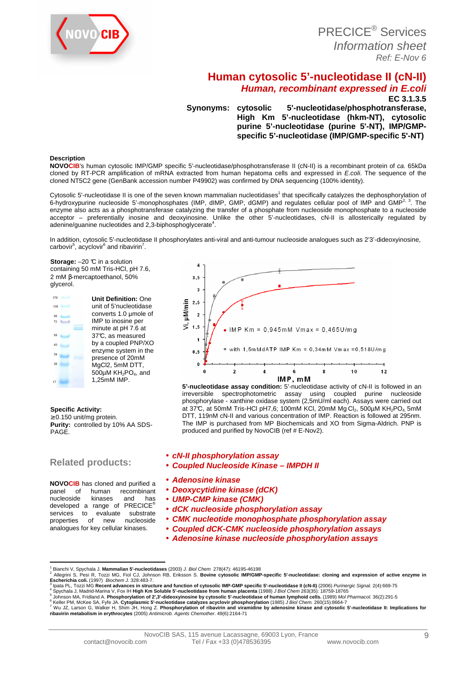

## **Human cytosolic 5'-nucleotidase II (cN-II) Human, recombinant expressed in E.coli EC 3.1.3.5**

**Synonyms: cytosolic 5'-nucleotidase/phosphotransferase, High Km 5'-nucleotidase (hkm-NT), cytosolic purine 5'-nucleotidase (purine 5'-NT), IMP/GMPspecific 5'-nucleotidase (IMP/GMP-specific 5'-NT)** 

#### **Description**

**NOVOCIB**'s human cytosolic IMP/GMP specific 5'-nucleotidase/phosphotransferase II (cN-II) is a recombinant protein of ca. 65kDa cloned by RT-PCR amplification of mRNA extracted from human hepatoma cells and expressed in *E.coli*. The sequence of the cloned NT5C2 gene (GenBank accession number P49902) was confirmed by DNA sequencing (100% identity).

Cytosolic 5'-nucleotidase II is one of the seven known mammalian nucleotidases<sup>1</sup> that specifically catalyzes the dephosphorylation of 6-hydroxypurine nucleoside 5'-monophosphates (IMP, dIMP, GMP, dGMP) and regulates cellular pool of IMP and GMP<sup>2, 3</sup>. The enzyme also acts as a phosphotransferase catalyzing the transfer of a phosphate from nucleoside monophosphate to a nucleoside acceptor – preferentially inosine and deoxyinosine. Unlike the other 5'-nucleotidases, cN-II is allosterically regulated by adenine/guanine nucleotides and 2,3-biphosphoglycerate<sup>4</sup>.

In addition, cytosolic 5'-nucleotidase II phosphorylates anti-viral and anti-tumour nucleoside analogues such as 2'3'-dideoxyinosine,  $\text{carbovir}^5$ , acyclovir $^6$  and ribavirin<sup>7</sup>.

**Storage:** −20 ℃ in a solution containing 50 mM Tris-HCl, pH 7.6, 2 mM β-mercaptoethanol, 50% glycerol.



#### **Specific Activity:**

≥ 0.150 unit/mg protein. **Purity:** controlled by 10% AA SDS-PAGE.

## **Related products:**

**NOVOCIB** has cloned and purified a panel of human recombinant<br>nucleoside kinases and has nucleoside kinases and has developed a range of PRECICE® services to evaluate substrate<br>properties of new nucleoside properties of new nucleoside analogues for key cellular kinases.



**5'-nucleotidase assay condition:** 5'-nucleotidase activity of cN-II is followed in an irreversible spectrophotometric assay using coupled purine nucleoside phosphorylase - xanthine oxidase system (2,5mU/ml each). Assays were carried out at 37°C, at 50mM Tris-HCl pH7,6; 100mM KCl, 20mM  $MgCl<sub>2</sub>$ , 500µM KH<sub>2</sub>PO<sub>4</sub>, 5mM DTT, 119nM cN-II and various concentration of IMP. Reaction is followed at 295nm. The IMP is purchased from MP Biochemicals and XO from Sigma-Aldrich. PNP is produced and purified by NovoCIB (ref # E-Nov2).

- **cN-II phosphorylation assay**
- **Coupled Nucleoside Kinase IMPDH II**

#### • **Adenosine kinase**

- **Deoxycytidine kinase (dCK)**
- **UMP-CMP kinase (CMK)**
- **dCK nucleoside phosphorylation assay**
- **CMK nucleotide monophosphate phosphorylation assay**
- **Coupled dCK-CMK nucleoside phosphorylation assays**
- **Adenosine kinase nucleoside phosphorylation assays**

 $\overline{a}$ 1 Bianchi V, Spychala J. **Mammalian 5'-nucleotidases** (2003) J. Biol Chem 278(47): 46195-46198

<sup>2</sup> Allegrini S, Pesi R, Tozzi MG, Fiol CJ, Johnson RB, Eriksson S. **Bovine cytosolic IMP/GMP-specific 5'-nucleotidase: cloning and expression of active enzyme in Escherichia coli.** (1997) Biochem J. 328:483-7.<br><sup>3</sup> laete Bl., Terri MC **Becant advances in etnuat** 

Ipata PL, Tozzi MG Recent advances in structure and function of cytosolic IMP-GMP specific 5'-nucleotidase II (cN-II) (2006) Purinergic Signal. 2(4):669-75<br>Spychala J, Madrid-Marina V, Fox IH High Km Soluble 5'-nucleotidas 4

<sup>5</sup> Johnson MA, Fridland A. Phosphorylation of 2',3'-dideoxyinosine by cytosolic 5'-nucleotidase of human lymphoid cells. (1989) Mol Pharmacol. 36(2):291-5

<sup>&</sup>lt;sup>6</sup> Keller PM, McKee SA, Fyfe JA. **Cytoplasmic 5'-nucleotidase catalyzes acyclovir phosphorylation** (1985) *J Biol Chem.* 260(15):8664-7<br><sup>7</sup> Wu JZ, Larson G, Walker H, Shim JH, Hong Z. Phosphorylation of ribavirin and vir